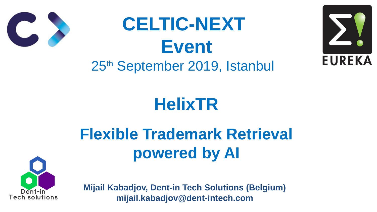# **HelixTR**





# **Flexible Trademark Retrieval powered by AI**

# **CELTIC-NEXT Event** 25th September 2019, Istanbul



**Mijail Kabadjov, Dent-in Tech Solutions (Belgium) mijail.kabadjov@dent-intech.com**



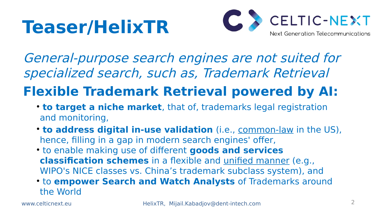# **Teaser/HelixTR**

General-purpose search engines are not suited for specialized search, such as, Trademark Retrieval

## **Flexible Trademark Retrieval powered by AI:**

• **to address digital in-use validation** (i.e., common-law in the US), **classification schemes** in a flexible and unified manner (e.g., WIPO's NICE classes vs. China's trademark subclass system), and ● to **empower Search and Watch Analysts** of Trademarks around

- and monitoring,
- hence, filling in a gap in modern search engines' offer,
- to enable making use of different **goods and services**
- the World



**• to target a niche market**, that of, trademarks legal registration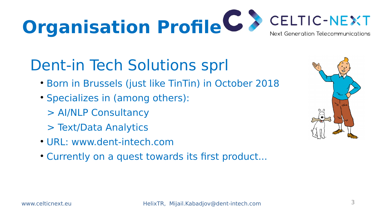3

# **Organisation Profile G >**

# Dent-in Tech Solutions sprl

- Born in Brussels (just like TinTin) in October 2018
- Specializes in (among others): > AI/NLP Consultancy > Text/Data Analytics
- URL: [www.dent-intech.com](http://www.dent-intech.com/)
- Currently on a quest towards its first product...





www.celticnext.eu HelixTR, Mijail.Kabadjov@dent-intech.com





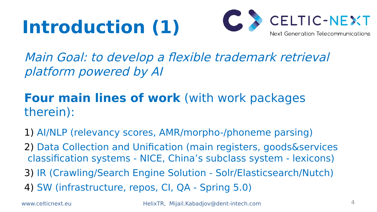# **Introduction (1)**

4

### Main Goal: to develop a flexible trademark retrieval

platform powered by AI

### **Four main lines of work** (with work packages therein):

- 1) AI/NLP (relevancy scores, AMR/morpho-/phoneme parsing)
- 2) Data Collection and Unification (main registers, goods&services classification systems - NICE, China's subclass system - lexicons)
- 
- 3) IR (Crawling/Search Engine Solution Solr/Elasticsearch/Nutch) 4) SW (infrastructure, repos, CI, QA - Spring 5.0)

www.celticnext.eu HelixTR, Mijail.Kabadjov@dent-intech.com

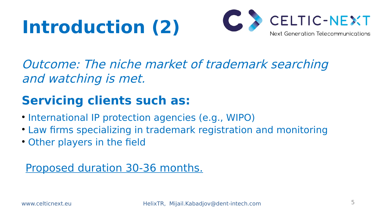# **Introduction (2)**

Outcome: The niche market of trademark searching and watching is met.

### **Servicing clients such as:**

- International IP protection agencies (e.g., WIPO)
- Law firms specializing in trademark registration and monitoring
- Other players in the field

#### Proposed duration 30-36 months.



www.celticnext.eu HelixTR, Mijail.Kabadjov@dent-intech.com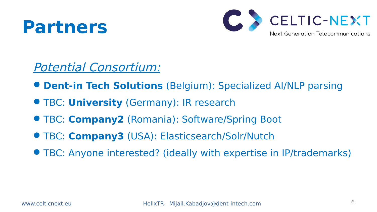# **Partners**

- Potential Consortium:
- **Dent-in Tech Solutions** (Belgium): Specialized AI/NLP parsing
- TBC: **University** (Germany): IR research
- TBC: **Company2** (Romania): Software/Spring Boot
- TBC: **Company3** (USA): Elasticsearch/Solr/Nutch
- **TBC: Anyone interested? (ideally with expertise in IP/trademarks)**